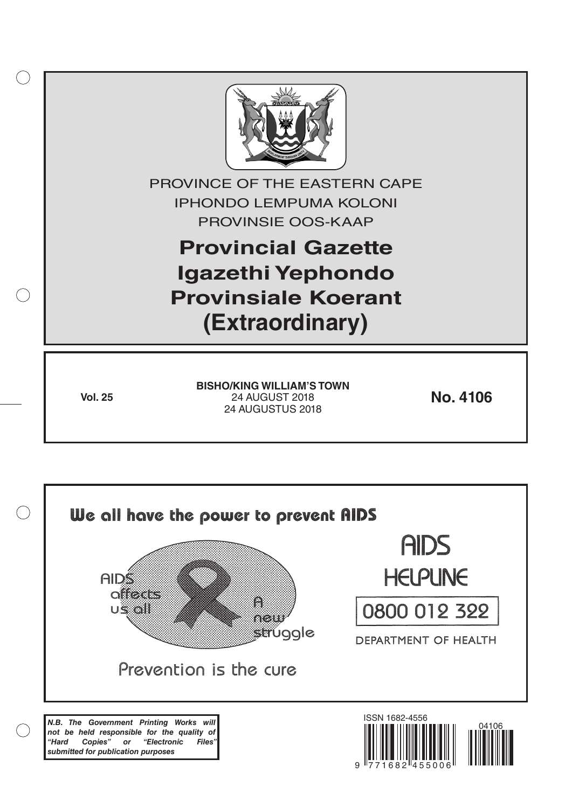

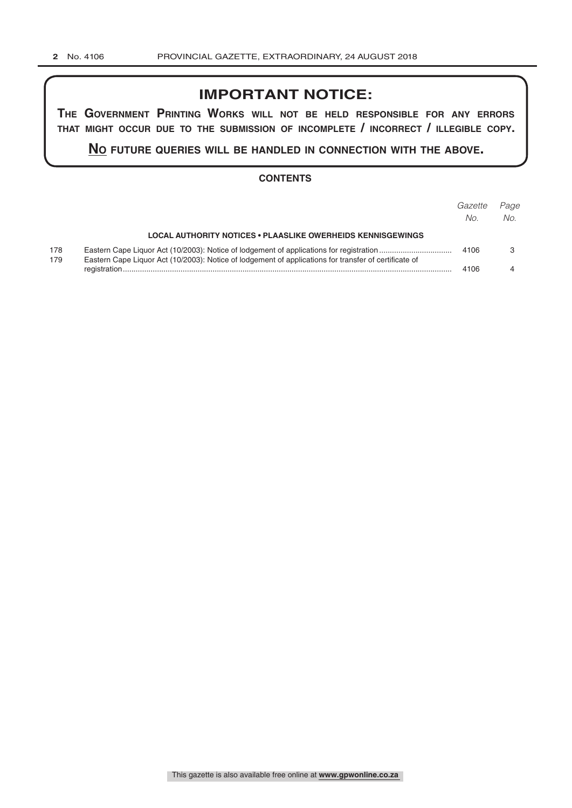# **IMPORTANT NOTICE:**

**The GovernmenT PrinTinG Works Will noT be held resPonsible for any errors ThaT miGhT occur due To The submission of incomPleTe / incorrecT / illeGible coPy.**

**no fuTure queries Will be handled in connecTion WiTh The above.**

### **CONTENTS**

|            |                                                                                                       | Gazette<br>No. | Page<br>No. |
|------------|-------------------------------------------------------------------------------------------------------|----------------|-------------|
|            | <b>LOCAL AUTHORITY NOTICES • PLAASLIKE OWERHEIDS KENNISGEWINGS</b>                                    |                |             |
| 178<br>179 | Eastern Cape Liquor Act (10/2003): Notice of lodgement of applications for transfer of certificate of | 4106           |             |
|            |                                                                                                       | 4106           |             |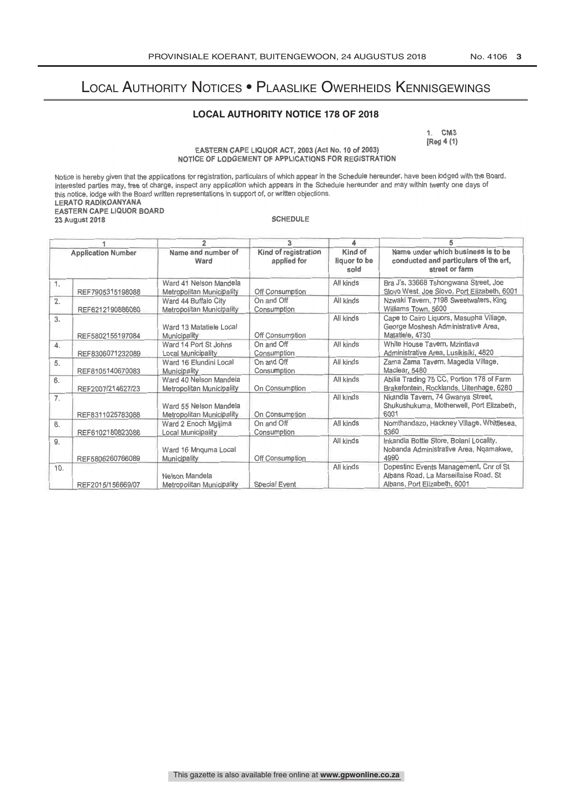# Local Authority Notices • Plaaslike Owerheids Kennisgewings

### **LOCAL AUTHORITY NOTICE 178 OF 2018**

 $10.66 \pm 11$ 

 $\mathbb{R}^{109}$   $\mathbb{R}^{11}$ 

EASTERN VAFE LIQUUR AVT, 2003 (AVTIV) TV VI 2003)<br>AF AF LABAFUFUT AF ARBUAATIAUA FAR BEAIATRATIAU NOTICE OF LODGEMENT OF APPLICATIONS FOR REGISTRATION

Notice is hereby given that the applications for registration, particulars of which appear in the Schedule hereunder, have been lodged with the Board.<br>Interested parties may, free of charge, inspect any application which a this notice, lodge with the Board written representations in support of, or written objections. LERATO RADIKOANYANA EASTERN CAPE LIQUOR BOARD 23 August 2018

| <b>Application Number</b> |                   | 2                                                   | 3                                   | 4                               | 5<br>Name under which business is to be<br>conducted and particulars of the erf,<br>street or farm              |  |
|---------------------------|-------------------|-----------------------------------------------------|-------------------------------------|---------------------------------|-----------------------------------------------------------------------------------------------------------------|--|
|                           |                   | Name and number of<br>Ward                          | Kind of registration<br>applied for | Kind of<br>liquor to be<br>sold |                                                                                                                 |  |
| 1.                        | REF7905315198088  | Ward 41 Nelson Mandela<br>Metropolitan Municipality | Off Consumption                     | All kinds                       | Bra J's, 33668 Tshongwana Street, Joe<br>Slovo West, Joe Slovo, Port Elizabeth, 6001                            |  |
| 2.                        | REF6212190886080  | Ward 44 Buffalo City<br>Metropolitan Municipality   | On and Off<br>Consumption           | All kinds                       | Nzwaki Tavern, 7198 Sweetwaters, King<br>Williams Town, 5600                                                    |  |
| 3.                        | REF5802155197084  | Ward 13 Matatiele Local<br>Municipality             | Off Consumption                     | All kinds                       | Cape to Cairo Liquors, Masupha Village,<br>George Moshesh Administrative Area,<br>Matatiele, 4730               |  |
| 4.                        | REF8306071232089  | Ward 14 Port St Johns<br>Local Municipality         | On and Off<br>Consumption           | All kinds                       | White House Tavern, Mzintlava<br>Administrative Area, Lusikisiki, 4820                                          |  |
| 5.                        | REF8105140670083  | Ward 16 Elundini Local<br>Municipality              | On and Off<br>Consumption           | All kinds                       | Zama Zama Tavern, Magedla Village,<br>Maclear, 5480                                                             |  |
| 6.                        | REF2007/214627/23 | Ward 40 Nelson Mandela<br>Metropolitan Municipality | On Consumption                      | All kinds                       | Abilia Trading 75 CC, Portion 178 of Farm<br>Brakefontein, Rocklands, Uitenhage, 6280                           |  |
| 7.                        | REF8311025783088  | Ward 55 Nelson Mandela<br>Metropolitan Municipality | On Consumption                      | All kinds                       | Nkandla Tavern, 74 Gwanya Street,<br>Shukushukuma, Motherwell, Port Elizabeth,<br>6001                          |  |
| 8.                        | REF6102180823088  | Ward 2 Enoch Mgijima<br>Local Municipality          | On and Off<br>Consumption           | All kinds                       | Nomthandazo, Hackney Village, Whittlesea,<br>5360                                                               |  |
| 9.                        | REF5806260766089  | Ward 16 Mnguma Local<br>Municipality                | Off Consumption                     | All kinds                       | Inkandla Bottle Store, Bolani Locality,<br>Nobanda Administrative Area, Ngamakwe,<br>4990                       |  |
| 10.                       | REF2015/156669/07 | Nelson Mandela<br>Metropolitan Municipality         | Special Event                       | All kinds                       | Dopestinc Events Management, Cnr of St<br>Albans Road, La Marseillaise Road, St<br>Albans, Port Elizabeth, 6001 |  |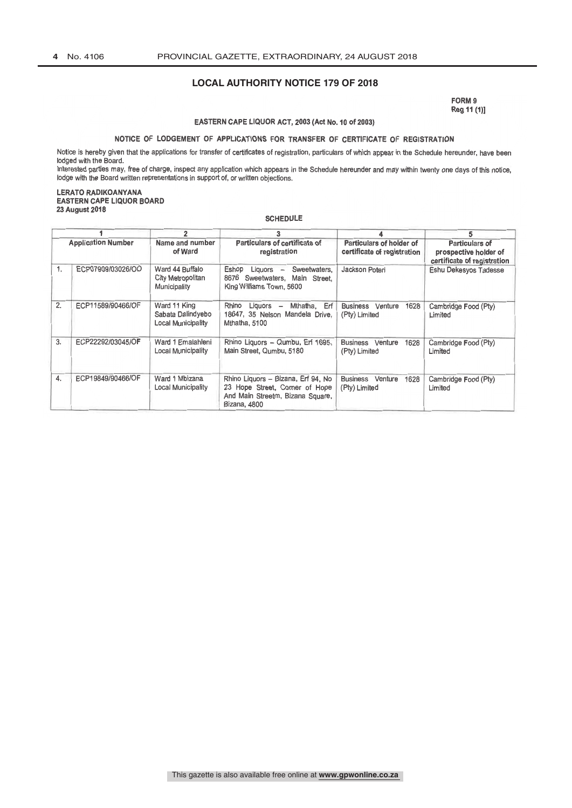## **LOCAL AUTHORITY NOTICE 179 OF 2018**

 $P_{\text{max}}$  44.7411  $\mathcal{L} = \mathcal{L} \cup \{1,2,3,4\}$ 

#### EASTERN CAPE LIQUOR ACT, 2003 (Act No. 10 of 2003)

#### NOTICE OF LODGEMENT OF APPLICATIONS FOR TRANSFER OF CERTIFICATE OF REGISTRATION

Notice is hereby given that the applications for transfer of certificates of registration, particulars of which appear in the Schedule hereunder, have been<br>lodged with the Board.

Interested parties may, free of charge, inspect any application which appears in the Schedule hereunder and may within twenty one days of this notice, lodge with the Board written representations in support of, or written objections.

#### LERATO RADIKOANYANA EASTERN CAPE LIQUOR BOARD 23 August 2018

SCHEDULE

| <b>Application Number</b> |                   |                                                                             | 3                                                                                                                          |                                                         |                                                                               |
|---------------------------|-------------------|-----------------------------------------------------------------------------|----------------------------------------------------------------------------------------------------------------------------|---------------------------------------------------------|-------------------------------------------------------------------------------|
|                           |                   | Name and number<br>Particulars of certificate of<br>of Ward<br>registration |                                                                                                                            | Particulars of holder of<br>certificate of registration | <b>Particulars of</b><br>prospective holder of<br>certificate of registration |
| 1.                        | ECP07909/03026/OO | Ward 44 Buffalo<br>City Metropolitan<br>Municipality                        | Sweetwaters,<br>Eshop<br>Liguors<br>$\overline{\phantom{a}}$<br>8676 Sweetwaters, Main Street,<br>King Williams Town, 5600 | Jackson Poteri                                          | Eshu Dekesyos Tadesse                                                         |
| 2.                        | ECP11589/90466/OF | Ward 11 King<br>Sabata Dalindyebo<br>Local Municipality                     | Rhino<br>Mthatha, Erf<br>Liquors —<br>18647, 35 Nelson Mandela Drive,<br>Mthatha, 5100                                     | 1628<br><b>Business</b> Venture<br>(Pty) Limited        | Cambridge Food (Pty)<br>Limited                                               |
| 3.                        | ECP22292/03045/OF | Ward 1 Emalahleni<br>Local Municipality                                     | Rhino Liguors - Qumbu, Erf 1695,<br>Main Street, Qumbu, 5180                                                               | <b>Business</b> Venture<br>1628<br>(Pty) Limited        | Cambridge Food (Pty)<br>Limited                                               |
| 4.                        | ECP19849/90466/OF | Ward 1 Mbizana<br>Local Municipality                                        | Rhino Liquors - Bizana, Erf 94, No<br>23 Hope Street, Corner of Hope<br>And Main Streetm, Bizana Square,<br>Bizana, 4800   | Business Venture<br>1628<br>(Pty) Limited               | Cambridge Food (Pty)<br>Limited                                               |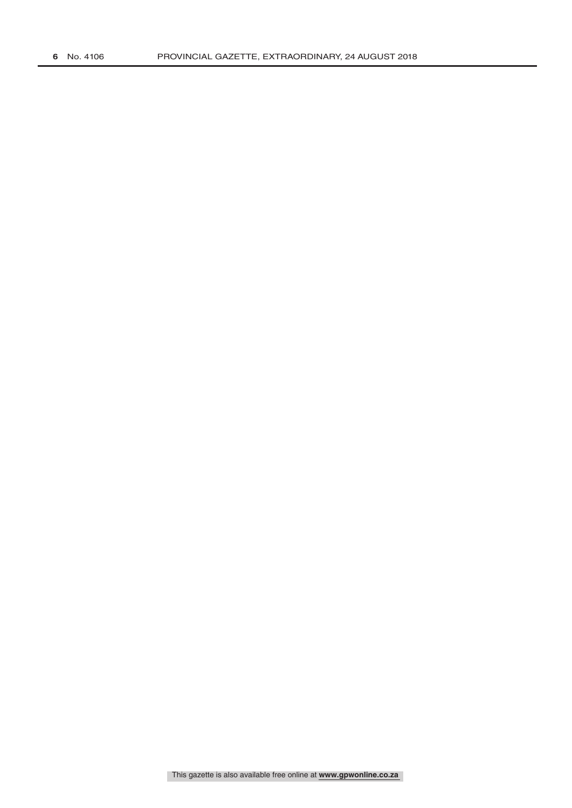This gazette is also available free online at **www.gpwonline.co.za**